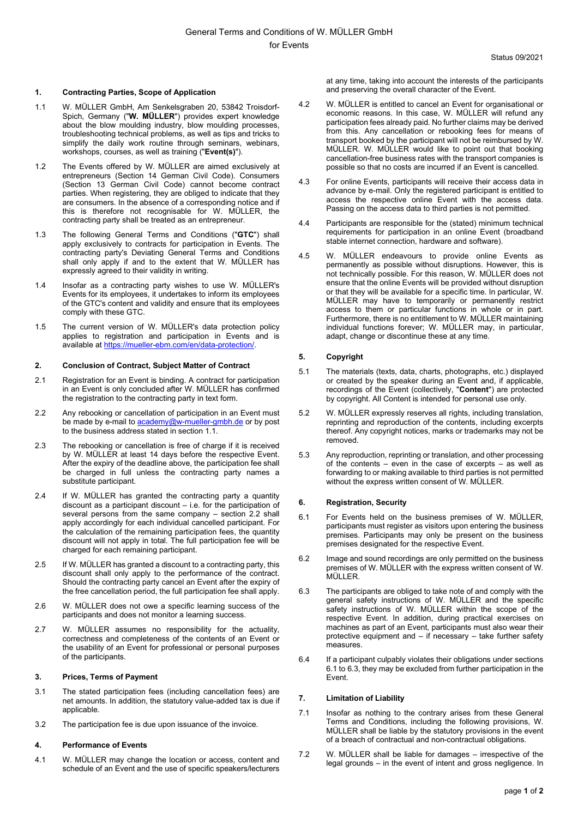## **1. Contracting Parties, Scope of Application**

- 1.1 W. MÜLLER GmbH, Am Senkelsgraben 20, 53842 Troisdorf-Spich, Germany ("**W. MÜLLER**") provides expert knowledge about the blow moulding industry, blow moulding processes, troubleshooting technical problems, as well as tips and tricks to simplify the daily work routine through seminars, webinars, workshops, courses, as well as training ("**Event(s)**").
- 1.2 The Events offered by W. MÜLLER are aimed exclusively at entrepreneurs (Section 14 German Civil Code). Consumers (Section 13 German Civil Code) cannot become contract parties. When registering, they are obliged to indicate that they are consumers. In the absence of a corresponding notice and if this is therefore not recognisable for W. MÜLLER, the contracting party shall be treated as an entrepreneur.
- 1.3 The following General Terms and Conditions ("**GTC**") shall apply exclusively to contracts for participation in Events. The contracting party's Deviating General Terms and Conditions shall only apply if and to the extent that W. MÜLLER has expressly agreed to their validity in writing.
- 1.4 Insofar as a contracting party wishes to use W. MÜLLER's Events for its employees, it undertakes to inform its employees of the GTC's content and validity and ensure that its employees comply with these GTC.
- 1.5 The current version of W. MÜLLER's data protection policy applies to registration and participation in Events and is available at https://mueller-ebm.com/en/data-protection/.

### **2. Conclusion of Contract, Subject Matter of Contract**

- 2.1 Registration for an Event is binding. A contract for participation in an Event is only concluded after W. MÜLLER has confirmed the registration to the contracting party in text form.
- 2.2 Any rebooking or cancellation of participation in an Event must be made by e-mail to **academy@w-mueller-gmbh.de** or by post to the business address stated in section 1.1.
- 2.3 The rebooking or cancellation is free of charge if it is received by W. MÜLLER at least 14 days before the respective Event. After the expiry of the deadline above, the participation fee shall be charged in full unless the contracting party names a substitute participant.
- 2.4 If W. MÜLLER has granted the contracting party a quantity discount as a participant discount – i.e. for the participation of several persons from the same company – section 2.2 shall apply accordingly for each individual cancelled participant. For the calculation of the remaining participation fees, the quantity discount will not apply in total. The full participation fee will be charged for each remaining participant.
- 2.5 If W. MÜLLER has granted a discount to a contracting party, this discount shall only apply to the performance of the contract. Should the contracting party cancel an Event after the expiry of the free cancellation period, the full participation fee shall apply.
- 2.6 W. MÜLLER does not owe a specific learning success of the participants and does not monitor a learning success.
- 2.7 W. MÜLLER assumes no responsibility for the actuality, correctness and completeness of the contents of an Event or the usability of an Event for professional or personal purposes of the participants.

### **3. Prices, Terms of Payment**

- 3.1 The stated participation fees (including cancellation fees) are net amounts. In addition, the statutory value-added tax is due if applicable
- 3.2 The participation fee is due upon issuance of the invoice.

#### **4. Performance of Events**

4.1 W. MÜLLER may change the location or access, content and schedule of an Event and the use of specific speakers/lecturers at any time, taking into account the interests of the participants and preserving the overall character of the Event.

- 4.2 W. MÜLLER is entitled to cancel an Event for organisational or economic reasons. In this case, W. MÜLLER will refund any participation fees already paid. No further claims may be derived from this. Any cancellation or rebooking fees for means of transport booked by the participant will not be reimbursed by W. MÜLLER. W. MÜLLER would like to point out that booking cancellation-free business rates with the transport companies is possible so that no costs are incurred if an Event is cancelled.
- 4.3 For online Events, participants will receive their access data in advance by e-mail. Only the registered participant is entitled to access the respective online Event with the access data. Passing on the access data to third parties is not permitted.
- 4.4 Participants are responsible for the (stated) minimum technical requirements for participation in an online Event (broadband stable internet connection, hardware and software).
- 4.5 W. MÜLLER endeavours to provide online Events as permanently as possible without disruptions. However, this is not technically possible. For this reason, W. MÜLLER does not ensure that the online Events will be provided without disruption or that they will be available for a specific time. In particular, W. MÜLLER may have to temporarily or permanently restrict access to them or particular functions in whole or in part. Furthermore, there is no entitlement to W. MÜLLER maintaining individual functions forever; W. MÜLLER may, in particular, adapt, change or discontinue these at any time.

## **5. Copyright**

- 5.1 The materials (texts, data, charts, photographs, etc.) displayed or created by the speaker during an Event and, if applicable, recordings of the Event (collectively, "**Content**") are protected by copyright. All Content is intended for personal use only.
- 5.2 W. MÜLLER expressly reserves all rights, including translation, reprinting and reproduction of the contents, including excerpts thereof. Any copyright notices, marks or trademarks may not be removed.
- 5.3 Any reproduction, reprinting or translation, and other processing of the contents – even in the case of excerpts – as well as forwarding to or making available to third parties is not permitted without the express written consent of W. MÜLLER.

#### **6. Registration, Security**

- 6.1 For Events held on the business premises of W. MÜLLER, participants must register as visitors upon entering the business premises. Participants may only be present on the business premises designated for the respective Event.
- 6.2 Image and sound recordings are only permitted on the business premises of W. MÜLLER with the express written consent of W. MÜLLER.
- 6.3 The participants are obliged to take note of and comply with the general safety instructions of W. MÜLLER and the specific safety instructions of W. MÜLLER within the scope of the respective Event. In addition, during practical exercises on machines as part of an Event, participants must also wear their protective equipment and – if necessary – take further safety measures.
- 6.4 If a participant culpably violates their obligations under sections 6.1 to 6.3, they may be excluded from further participation in the Event.

# **7. Limitation of Liability**

- 7.1 Insofar as nothing to the contrary arises from these General Terms and Conditions, including the following provisions, W. MÜLLER shall be liable by the statutory provisions in the event of a breach of contractual and non-contractual obligations.
- 7.2 W. MÜLLER shall be liable for damages irrespective of the legal grounds – in the event of intent and gross negligence. In